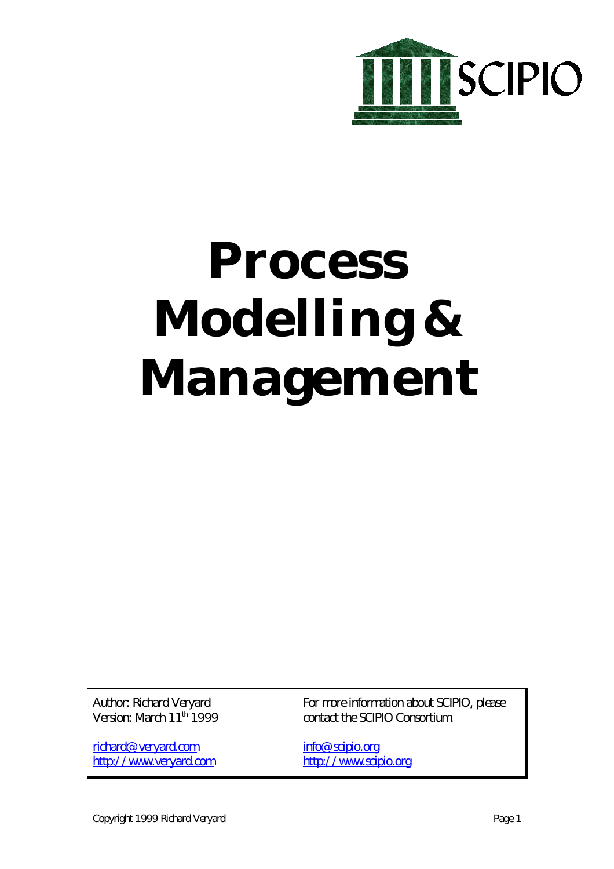

# **Process Modelling & Management**

Author: Richard Veryard Version: March 11<sup>th</sup> 1999

richard@veryard.com http://www.veryard.com For more information about SCIPIO, please contact the SCIPIO Consortium.

info@scipio.org http://www.scipio.org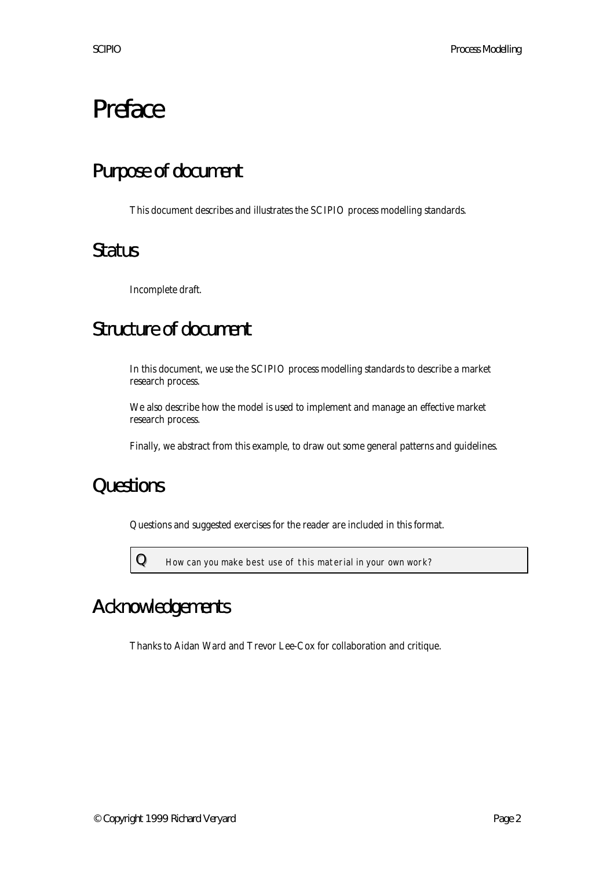# Preface

### Purpose of document

This document describes and illustrates the SCIPIO process modelling standards.

### **Status**

Incomplete draft.

### Structure of document

In this document, we use the SCIPIO process modelling standards to describe a market research process.

We also describe how the model is used to implement and manage an effective market research process.

Finally, we abstract from this example, to draw out some general patterns and guidelines.

### **Questions**

Questions and suggested exercises for the reader are included in this format.



 $\bf{Q}$  How can you make best use of this material in your own work?

### Acknowledgements

Thanks to Aidan Ward and Trevor Lee-Cox for collaboration and critique.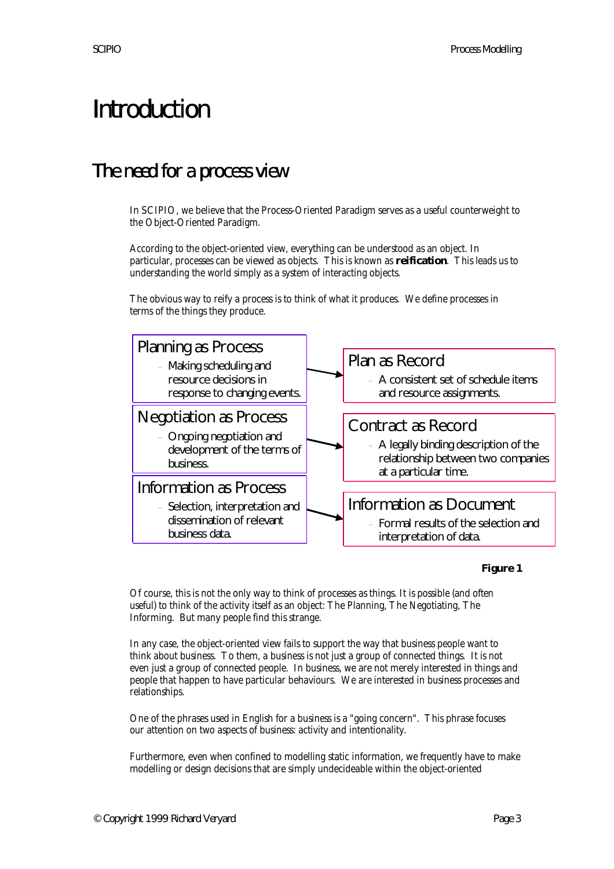# Introduction

#### The need for a process view

In SCIPIO, we believe that the Process-Oriented Paradigm serves as a useful counterweight to the Object-Oriented Paradigm.

According to the object-oriented view, everything can be understood as an object. In particular, processes can be viewed as objects. This is known as **reification**. This leads us to understanding the world simply as a system of interacting objects.

The obvious way to reify a process is to think of what it produces. We define processes in terms of the things they produce.



#### **Figure 1**

Of course, this is not the only way to think of processes as things. It is possible (and often useful) to think of the activity itself as an object: The Planning, The Negotiating, The Informing. But many people find this strange.

In any case, the object-oriented view fails to support the way that business people want to think about business. To them, a business is not just a group of connected things. It is not even just a group of connected people. In business, we are not merely interested in things and people that happen to have particular behaviours. We are interested in business processes and relationships.

One of the phrases used in English for a business is a "going concern". This phrase focuses our attention on two aspects of business: activity and intentionality.

Furthermore, even when confined to modelling static information, we frequently have to make modelling or design decisions that are simply undecideable within the object-oriented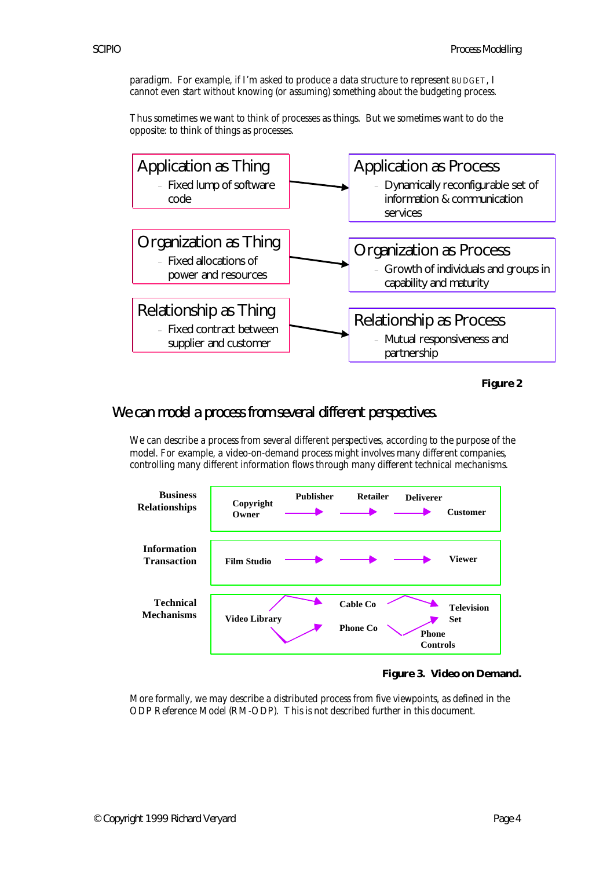paradigm. For example, if I'm asked to produce a data structure to represent BUDGET, I cannot even start without knowing (or assuming) something about the budgeting process.

Thus sometimes we want to think of processes as things. But we sometimes want to do the opposite: to think of things as processes.



**Figure 2**

#### We can model a process from several different perspectives.

We can describe a process from several different perspectives, according to the purpose of the model. For example, a video-on-demand process might involves many different companies, controlling many different information flows through many different technical mechanisms.





More formally, we may describe a distributed process from five viewpoints, as defined in the ODP Reference Model (RM-ODP). This is not described further in this document.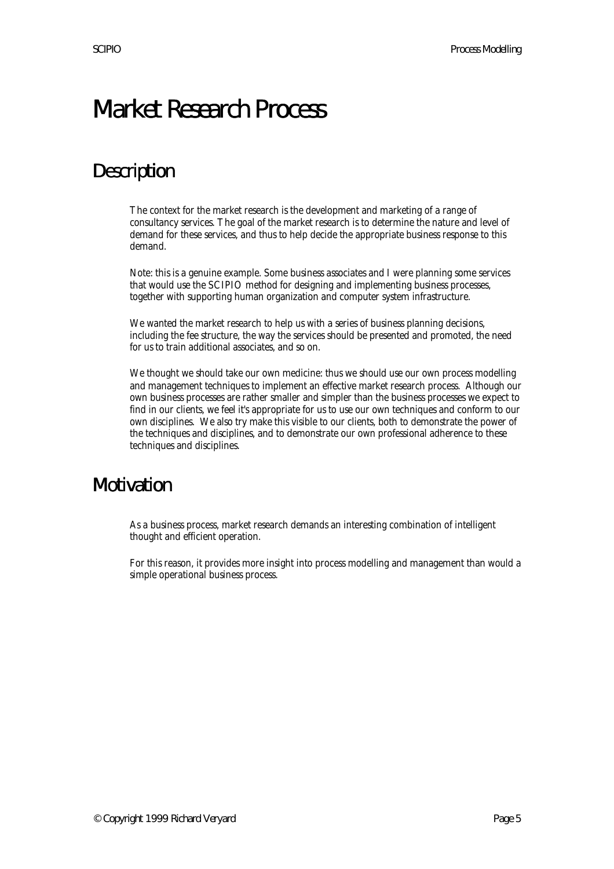## Market Research Process

### **Description**

The context for the market research is the development and marketing of a range of consultancy services. The goal of the market research is to determine the nature and level of demand for these services, and thus to help decide the appropriate business response to this demand.

Note: this is a genuine example. Some business associates and I were planning some services that would use the SCIPIO method for designing and implementing business processes, together with supporting human organization and computer system infrastructure.

We wanted the market research to help us with a series of business planning decisions, including the fee structure, the way the services should be presented and promoted, the need for us to train additional associates, and so on.

We thought we should take our own medicine: thus we should use our own process modelling and management techniques to implement an effective market research process. Although our own business processes are rather smaller and simpler than the business processes we expect to find in our clients, we feel it's appropriate for us to use our own techniques and conform to our own disciplines. We also try make this visible to our clients, both to demonstrate the power of the techniques and disciplines, and to demonstrate our own professional adherence to these techniques and disciplines.

#### Motivation

As a business process, market research demands an interesting combination of intelligent thought and efficient operation.

For this reason, it provides more insight into process modelling and management than would a simple operational business process.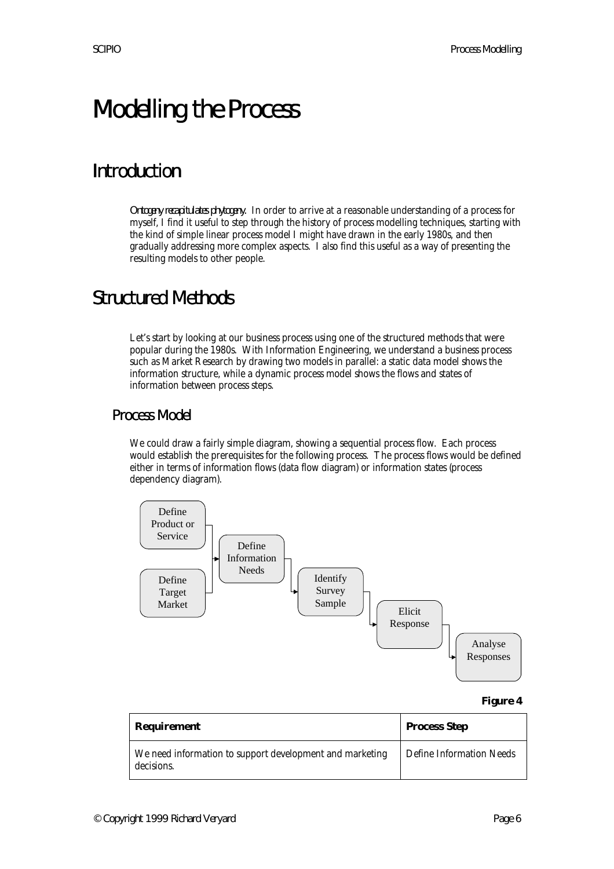# Modelling the Process

### Introduction

*Ontogeny recapitulates phytogeny.* In order to arrive at a reasonable understanding of a process for myself, I find it useful to step through the history of process modelling techniques, starting with the kind of simple linear process model I might have drawn in the early 1980s, and then gradually addressing more complex aspects. I also find this useful as a way of presenting the resulting models to other people.

#### Structured Methods

Let's start by looking at our business process using one of the structured methods that were popular during the 1980s. With Information Engineering, we understand a business process such as Market Research by drawing two models in parallel: a static data model shows the information structure, while a dynamic process model shows the flows and states of information between process steps.

#### Process Model

We could draw a fairly simple diagram, showing a sequential process flow. Each process would establish the prerequisites for the following process. The process flows would be defined either in terms of information flows (data flow diagram) or information states (process dependency diagram).

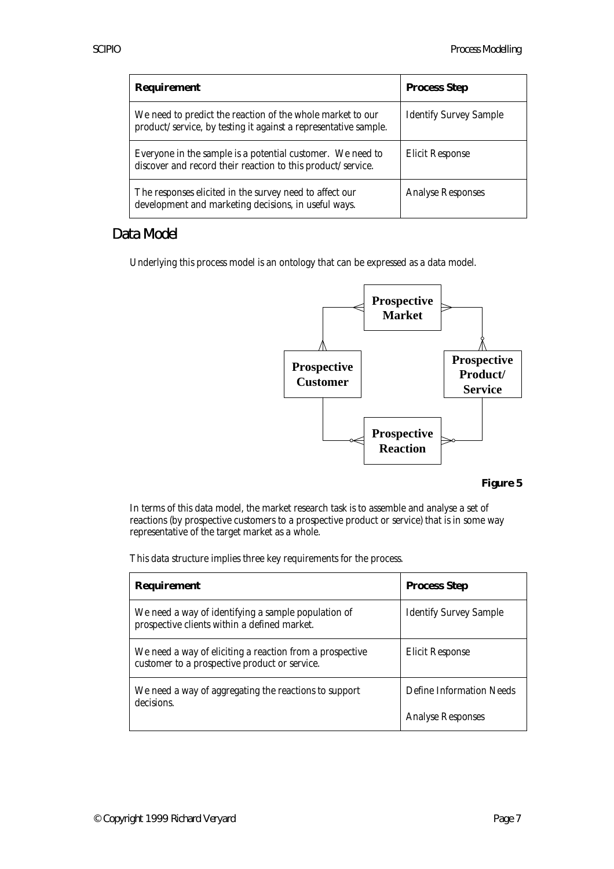| <b>Requirement</b>                                                                                                            | <b>Process Step</b>           |
|-------------------------------------------------------------------------------------------------------------------------------|-------------------------------|
| We need to predict the reaction of the whole market to our<br>product/service, by testing it against a representative sample. | <b>Identify Survey Sample</b> |
| Everyone in the sample is a potential customer. We need to<br>discover and record their reaction to this product/service.     | <b>Elicit Response</b>        |
| The responses elicited in the survey need to affect our<br>development and marketing decisions, in useful ways.               | <b>Analyse Responses</b>      |

#### Data Model

Underlying this process model is an ontology that can be expressed as a data model.



#### **Figure 5**

In terms of this data model, the market research task is to assemble and analyse a set of reactions (by prospective customers to a prospective product or service) that is in some way representative of the target market as a whole.

This data structure implies three key requirements for the process.

| <b>Requirement</b>                                                                                        | <b>Process Step</b>           |
|-----------------------------------------------------------------------------------------------------------|-------------------------------|
| We need a way of identifying a sample population of<br>prospective clients within a defined market.       | <b>Identify Survey Sample</b> |
| We need a way of eliciting a reaction from a prospective<br>customer to a prospective product or service. | <b>Elicit Response</b>        |
| We need a way of aggregating the reactions to support<br>decisions.                                       | Define Information Needs      |
|                                                                                                           | <b>Analyse Responses</b>      |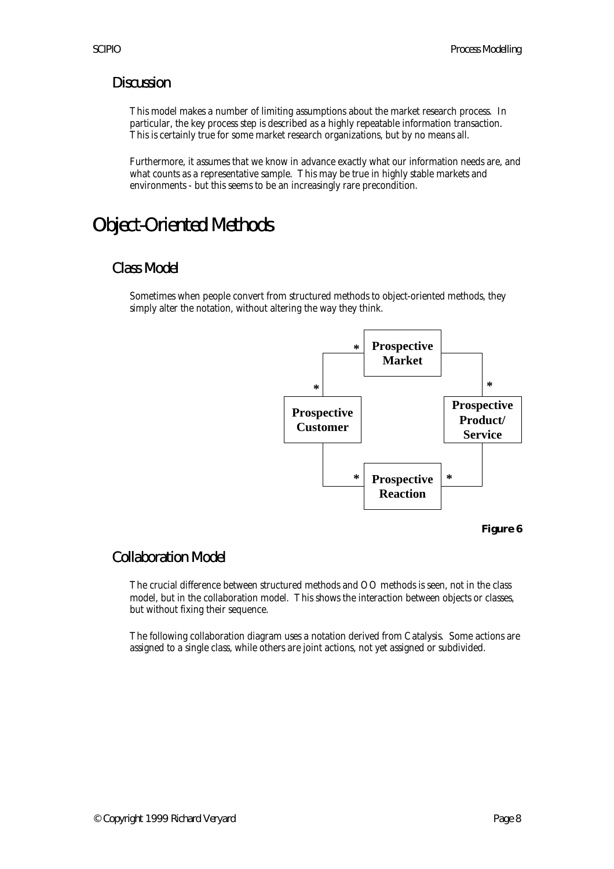#### **Discussion**

This model makes a number of limiting assumptions about the market research process. In particular, the key process step is described as a highly repeatable information transaction. This is certainly true for some market research organizations, but by no means all.

Furthermore, it assumes that we know in advance exactly what our information needs are, and what counts as a representative sample. This may be true in highly stable markets and environments - but this seems to be an increasingly rare precondition.

### Object-Oriented Methods

#### Class Model

Sometimes when people convert from structured methods to object-oriented methods, they simply alter the notation, without altering the way they think.



**Figure 6**

#### Collaboration Model

The crucial difference between structured methods and OO methods is seen, not in the class model, but in the collaboration model. This shows the interaction between objects or classes, but without fixing their sequence.

The following collaboration diagram uses a notation derived from Catalysis. Some actions are assigned to a single class, while others are joint actions, not yet assigned or subdivided.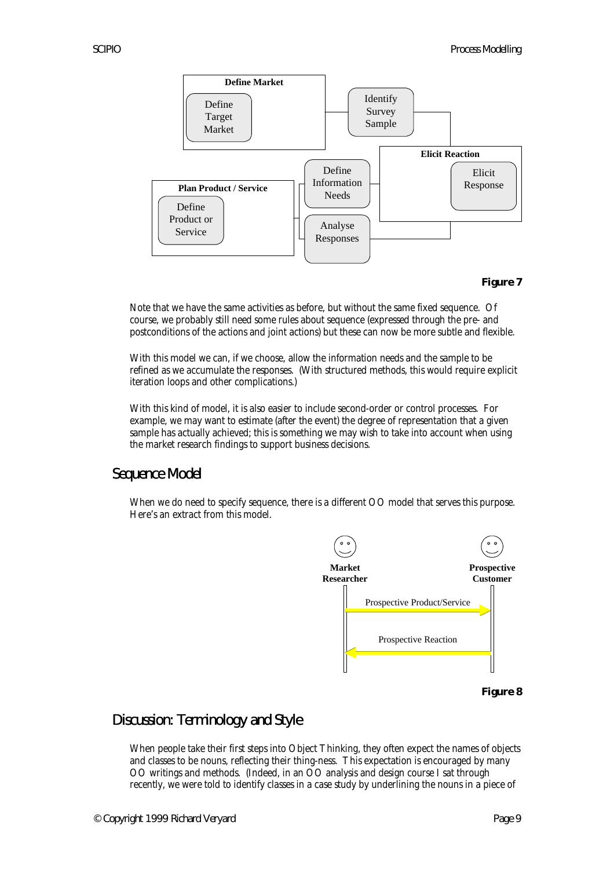

#### **Figure 7**

Note that we have the same activities as before, but without the same fixed sequence. Of course, we probably still need some rules about sequence (expressed through the pre- and postconditions of the actions and joint actions) but these can now be more subtle and flexible.

With this model we can, if we choose, allow the information needs and the sample to be refined as we accumulate the responses. (With structured methods, this would require explicit iteration loops and other complications.)

With this kind of model, it is also easier to include second-order or control processes. For example, we may want to estimate (after the event) the degree of representation that a given sample has actually achieved; this is something we may wish to take into account when using the market research findings to support business decisions.

#### Sequence Model

When we do need to specify sequence, there is a different OO model that serves this purpose. Here's an extract from this model.



#### **Figure 8**

#### Discussion: Terminology and Style

When people take their first steps into Object Thinking, they often expect the names of objects and classes to be nouns, reflecting their thing-ness. This expectation is encouraged by many OO writings and methods. (Indeed, in an OO analysis and design course I sat through recently, we were told to identify classes in a case study by underlining the nouns in a piece of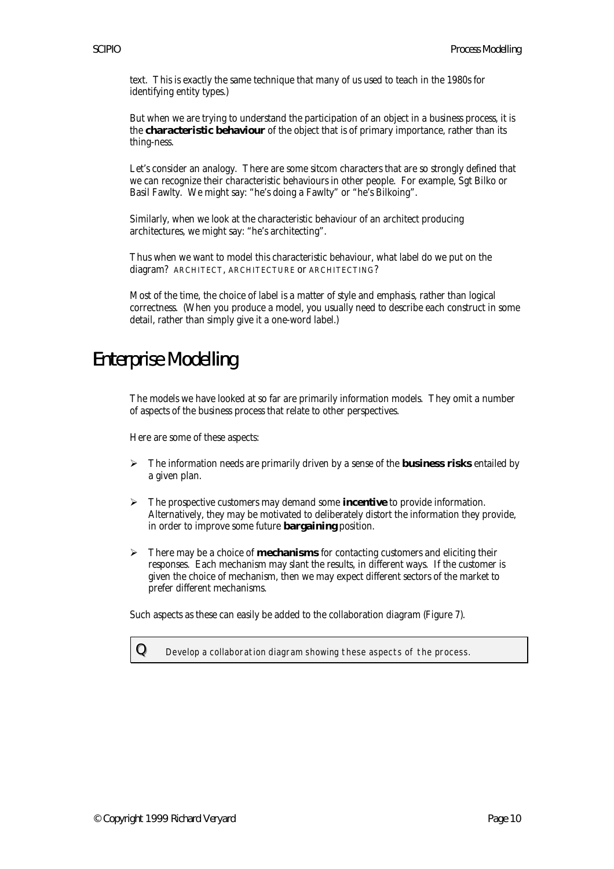text. This is exactly the same technique that many of us used to teach in the 1980s for identifying entity types.)

But when we are trying to understand the participation of an object in a business process, it is the **characteristic behaviour** of the object that is of primary importance, rather than its thing-ness.

Let's consider an analogy. There are some sitcom characters that are so strongly defined that we can recognize their characteristic behaviours in other people. For example, Sgt Bilko or Basil Fawlty. We might say: "he's doing a Fawlty" or "he's Bilkoing".

Similarly, when we look at the characteristic behaviour of an architect producing architectures, we might say: "he's architecting".

Thus when we want to model this characteristic behaviour, what label do we put on the diagram? ARCHITECT, ARCHITECTURE or ARCHITECTING?

Most of the time, the choice of label is a matter of style and emphasis, rather than logical correctness. (When you produce a model, you usually need to describe each construct in some detail, rather than simply give it a one-word label.)

#### Enterprise Modelling

The models we have looked at so far are primarily information models. They omit a number of aspects of the business process that relate to other perspectives.

Here are some of these aspects:

- $\triangleright$  The information needs are primarily driven by a sense of the **business risks** entailed by a given plan.
- ÿ The prospective customers may demand some **incentive** to provide information. Alternatively, they may be motivated to deliberately distort the information they provide, in order to improve some future **bargaining** position.
- $\triangleright$  There may be a choice of **mechanisms** for contacting customers and eliciting their responses. Each mechanism may slant the results, in different ways. If the customer is given the choice of mechanism, then we may expect different sectors of the market to prefer different mechanisms.

Such aspects as these can easily be added to the collaboration diagram (Figure 7).

 ${\bf Q}$  Develop a collaboration diagram showing these aspects of the process.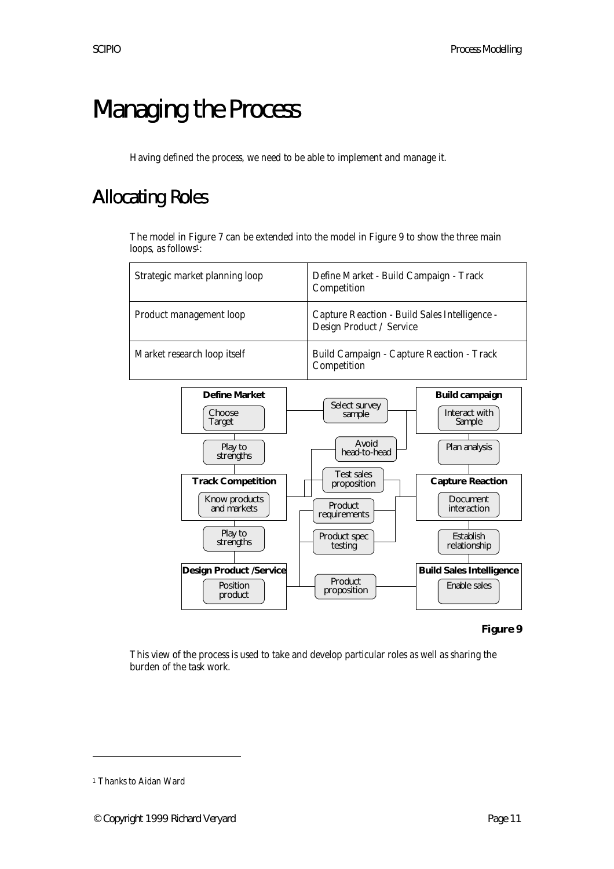# Managing the Process

Having defined the process, we need to be able to implement and manage it.

### Allocating Roles

The model in Figure 7 can be extended into the model in Figure 9 to show the three main loops, as follows<sup>1</sup>:



#### **Figure 9**

This view of the process is used to take and develop particular roles as well as sharing the burden of the task work.

 $\overline{a}$ 

<sup>1</sup> Thanks to Aidan Ward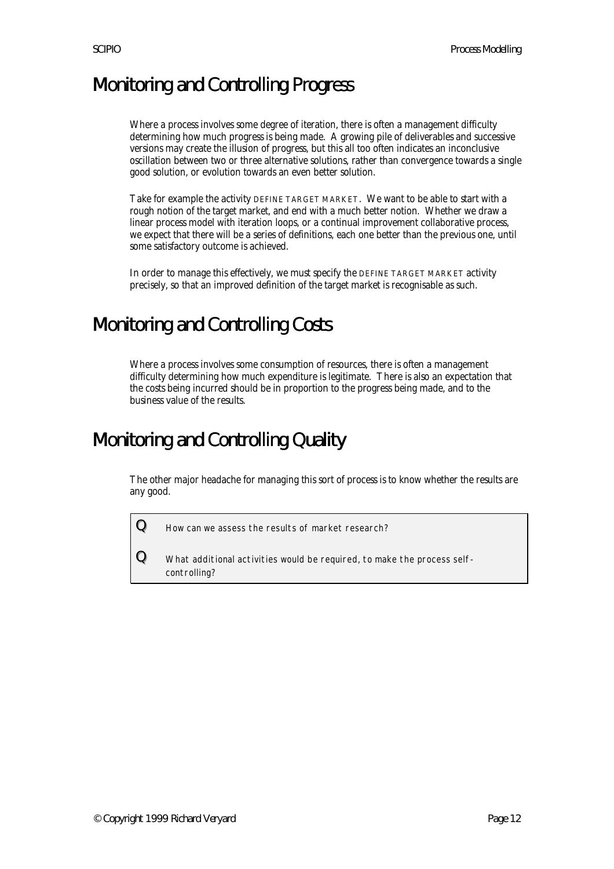### Monitoring and Controlling Progress

Where a process involves some degree of iteration, there is often a management difficulty determining how much progress is being made. A growing pile of deliverables and successive versions may create the illusion of progress, but this all too often indicates an inconclusive oscillation between two or three alternative solutions, rather than convergence towards a single good solution, or evolution towards an even better solution.

Take for example the activity DEFINE TARGET MARKET. We want to be able to start with a rough notion of the target market, and end with a much better notion. Whether we draw a linear process model with iteration loops, or a continual improvement collaborative process, we expect that there will be a series of definitions, each one better than the previous one, until some satisfactory outcome is achieved.

In order to manage this effectively, we must specify the DEFINE TARGET MARKET activity precisely, so that an improved definition of the target market is recognisable as such.

### Monitoring and Controlling Costs

Where a process involves some consumption of resources, there is often a management difficulty determining how much expenditure is legitimate. There is also an expectation that the costs being incurred should be in proportion to the progress being made, and to the business value of the results.

#### Monitoring and Controlling Quality

The other major headache for managing this sort of process is to know whether the results are any good.

 ${\bf Q}$  How can we assess the results of market research?

 ${\bf Q}\equiv$  What additional activities would be required, to make the process selfcontrolling?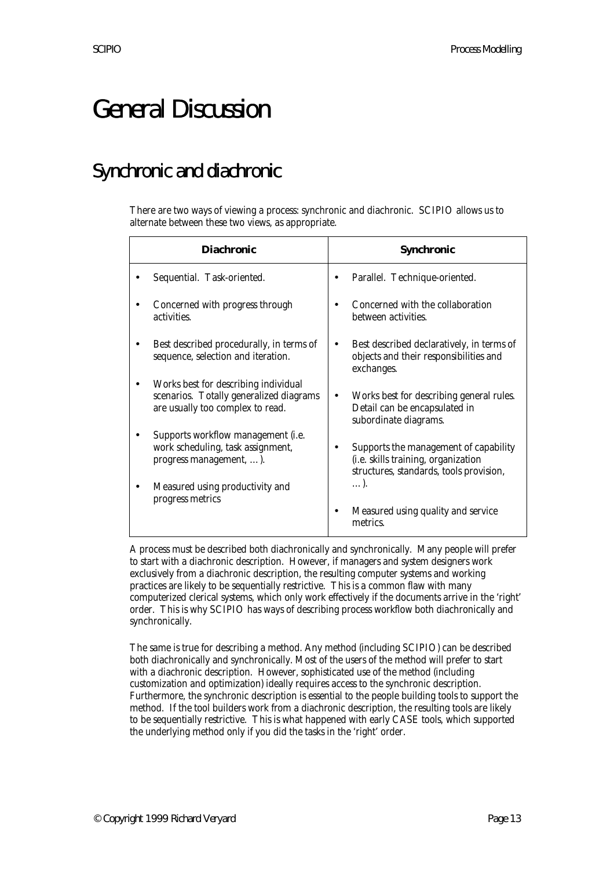# General Discussion

### Synchronic and diachronic

There are two ways of viewing a process: synchronic and diachronic. SCIPIO allows us to alternate between these two views, as appropriate.

| <b>Diachronic</b>                                                                                                   | <b>Synchronic</b>                                                                                                               |
|---------------------------------------------------------------------------------------------------------------------|---------------------------------------------------------------------------------------------------------------------------------|
| Sequential. Task-oriented.                                                                                          | Parallel. Technique-oriented.                                                                                                   |
| Concerned with progress through<br>activities.                                                                      | Concerned with the collaboration<br>between activities.                                                                         |
| Best described procedurally, in terms of<br>sequence, selection and iteration.                                      | Best described declaratively, in terms of<br>objects and their responsibilities and<br>exchanges.                               |
| Works best for describing individual<br>scenarios. Totally generalized diagrams<br>are usually too complex to read. | Works best for describing general rules.<br>Detail can be encapsulated in<br>subordinate diagrams.                              |
| Supports workflow management (i.e.<br>work scheduling, task assignment,<br>progress management, ).                  | Supports the management of capability<br>(i.e. skills training, organization<br>structures, standards, tools provision,<br>. ). |
| Measured using productivity and<br>progress metrics                                                                 | Measured using quality and service<br>metrics.                                                                                  |

A process must be described both diachronically and synchronically. Many people will prefer to start with a diachronic description. However, if managers and system designers work exclusively from a diachronic description, the resulting computer systems and working practices are likely to be sequentially restrictive. This is a common flaw with many computerized clerical systems, which only work effectively if the documents arrive in the 'right' order. This is why SCIPIO has ways of describing process workflow both diachronically and synchronically.

The same is true for describing a method. Any method (including SCIPIO) can be described both diachronically and synchronically. Most of the users of the method will prefer to start with a diachronic description. However, sophisticated use of the method (including customization and optimization) ideally requires access to the synchronic description. Furthermore, the synchronic description is essential to the people building tools to support the method. If the tool builders work from a diachronic description, the resulting tools are likely to be sequentially restrictive. This is what happened with early CASE tools, which supported the underlying method only if you did the tasks in the 'right' order.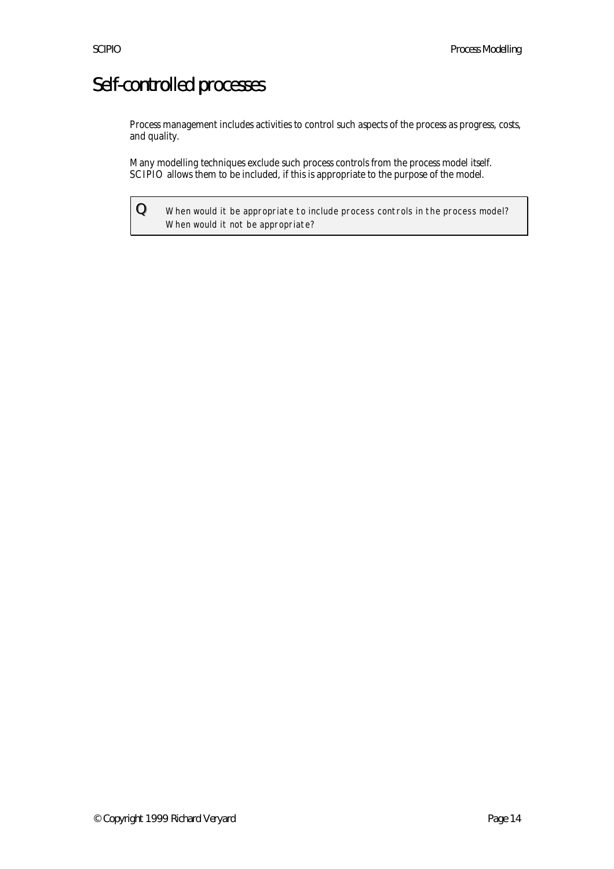### Self-controlled processes

Process management includes activities to control such aspects of the process as progress, costs, and quality.

Many modelling techniques exclude such process controls from the process model itself. SCIPIO allows them to be included, if this is appropriate to the purpose of the model.

 $Q$  When would it be appropriate to include process controls in the process model? When would it not be appropriate?